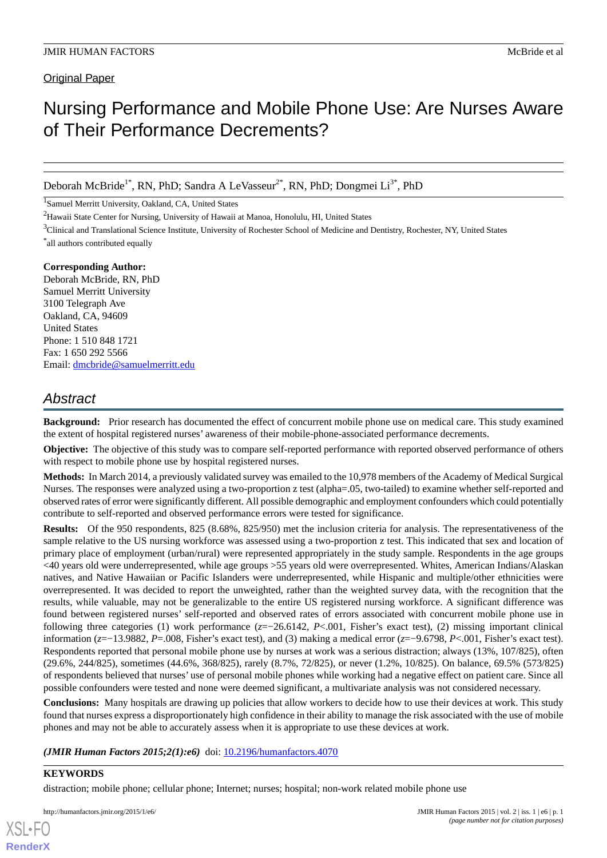### Original Paper

# Nursing Performance and Mobile Phone Use: Are Nurses Aware of Their Performance Decrements?

Deborah McBride<sup>1\*</sup>, RN, PhD; Sandra A LeVasseur<sup>2\*</sup>, RN, PhD; Dongmei Li<sup>3\*</sup>, PhD

<sup>1</sup>Samuel Merritt University, Oakland, CA, United States

<sup>2</sup>Hawaii State Center for Nursing, University of Hawaii at Manoa, Honolulu, HI, United States

<sup>3</sup>Clinical and Translational Science Institute, University of Rochester School of Medicine and Dentistry, Rochester, NY, United States

\* all authors contributed equally

# **Corresponding Author:**

Deborah McBride, RN, PhD Samuel Merritt University 3100 Telegraph Ave Oakland, CA, 94609 United States Phone: 1 510 848 1721 Fax: 1 650 292 5566 Email: [dmcbride@samuelmerritt.edu](mailto:dmcbride@samuelmerritt.edu)

# *Abstract*

**Background:** Prior research has documented the effect of concurrent mobile phone use on medical care. This study examined the extent of hospital registered nurses' awareness of their mobile-phone-associated performance decrements.

**Objective:** The objective of this study was to compare self-reported performance with reported observed performance of others with respect to mobile phone use by hospital registered nurses.

**Methods:** In March 2014, a previously validated survey was emailed to the 10,978 members of the Academy of Medical Surgical Nurses. The responses were analyzed using a two-proportion z test (alpha=.05, two-tailed) to examine whether self-reported and observed rates of error were significantly different. All possible demographic and employment confounders which could potentially contribute to self-reported and observed performance errors were tested for significance.

**Results:** Of the 950 respondents, 825 (8.68%, 825/950) met the inclusion criteria for analysis. The representativeness of the sample relative to the US nursing workforce was assessed using a two-proportion z test. This indicated that sex and location of primary place of employment (urban/rural) were represented appropriately in the study sample. Respondents in the age groups <40 years old were underrepresented, while age groups >55 years old were overrepresented. Whites, American Indians/Alaskan natives, and Native Hawaiian or Pacific Islanders were underrepresented, while Hispanic and multiple/other ethnicities were overrepresented. It was decided to report the unweighted, rather than the weighted survey data, with the recognition that the results, while valuable, may not be generalizable to the entire US registered nursing workforce. A significant difference was found between registered nurses' self-reported and observed rates of errors associated with concurrent mobile phone use in following three categories (1) work performance (*z*=−26.6142, *P*<.001, Fisher's exact test), (2) missing important clinical information (*z*=−13.9882, *P*=.008, Fisher's exact test), and (3) making a medical error (*z*=−9.6798, *P*<.001, Fisher's exact test). Respondents reported that personal mobile phone use by nurses at work was a serious distraction; always (13%, 107/825), often (29.6%, 244/825), sometimes (44.6%, 368/825), rarely (8.7%, 72/825), or never (1.2%, 10/825). On balance, 69.5% (573/825) of respondents believed that nurses' use of personal mobile phones while working had a negative effect on patient care. Since all possible confounders were tested and none were deemed significant, a multivariate analysis was not considered necessary.

**Conclusions:** Many hospitals are drawing up policies that allow workers to decide how to use their devices at work. This study found that nurses express a disproportionately high confidence in their ability to manage the risk associated with the use of mobile phones and may not be able to accurately assess when it is appropriate to use these devices at work.

(JMIR Human Factors 2015;2(1):e6) doi: [10.2196/humanfactors.4070](http://dx.doi.org/10.2196/humanfactors.4070)

#### **KEYWORDS**

[XSL](http://www.w3.org/Style/XSL)•FO **[RenderX](http://www.renderx.com/)**

distraction; mobile phone; cellular phone; Internet; nurses; hospital; non-work related mobile phone use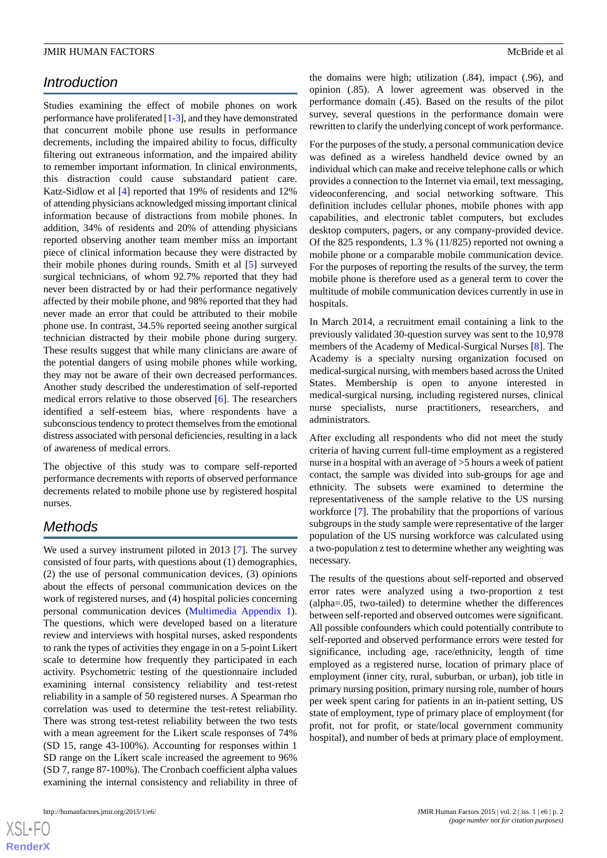# *Introduction*

Studies examining the effect of mobile phones on work performance have proliferated [\[1](#page-4-0)[-3](#page-4-1)], and they have demonstrated that concurrent mobile phone use results in performance decrements, including the impaired ability to focus, difficulty filtering out extraneous information, and the impaired ability to remember important information. In clinical environments, this distraction could cause substandard patient care. Katz-Sidlow et al [\[4](#page-4-2)] reported that 19% of residents and 12% of attending physicians acknowledged missing important clinical information because of distractions from mobile phones. In addition, 34% of residents and 20% of attending physicians reported observing another team member miss an important piece of clinical information because they were distracted by their mobile phones during rounds. Smith et al [[5\]](#page-4-3) surveyed surgical technicians, of whom 92.7% reported that they had never been distracted by or had their performance negatively affected by their mobile phone, and 98% reported that they had never made an error that could be attributed to their mobile phone use. In contrast, 34.5% reported seeing another surgical technician distracted by their mobile phone during surgery. These results suggest that while many clinicians are aware of the potential dangers of using mobile phones while working, they may not be aware of their own decreased performances. Another study described the underestimation of self-reported medical errors relative to those observed [\[6](#page-4-4)]. The researchers identified a self-esteem bias, where respondents have a subconscious tendency to protect themselves from the emotional distress associated with personal deficiencies, resulting in a lack of awareness of medical errors.

The objective of this study was to compare self-reported performance decrements with reports of observed performance decrements related to mobile phone use by registered hospital nurses.

# *Methods*

We used a survey instrument piloted in 2013 [\[7](#page-4-5)]. The survey consisted of four parts, with questions about (1) demographics, (2) the use of personal communication devices, (3) opinions about the effects of personal communication devices on the work of registered nurses, and (4) hospital policies concerning personal communication devices ([Multimedia Appendix 1\)](#page-4-6). The questions, which were developed based on a literature review and interviews with hospital nurses, asked respondents to rank the types of activities they engage in on a 5-point Likert scale to determine how frequently they participated in each activity. Psychometric testing of the questionnaire included examining internal consistency reliability and test-retest reliability in a sample of 50 registered nurses. A Spearman rho correlation was used to determine the test-retest reliability. There was strong test-retest reliability between the two tests with a mean agreement for the Likert scale responses of 74% (SD 15, range 43-100%). Accounting for responses within 1 SD range on the Likert scale increased the agreement to 96% (SD 7, range 87-100%). The Cronbach coefficient alpha values examining the internal consistency and reliability in three of

 $XS$  • FO **[RenderX](http://www.renderx.com/)** the domains were high; utilization (.84), impact (.96), and opinion (.85). A lower agreement was observed in the performance domain (.45). Based on the results of the pilot survey, several questions in the performance domain were rewritten to clarify the underlying concept of work performance.

For the purposes of the study, a personal communication device was defined as a wireless handheld device owned by an individual which can make and receive telephone calls or which provides a connection to the Internet via email, text messaging, videoconferencing, and social networking software. This definition includes cellular phones, mobile phones with app capabilities, and electronic tablet computers, but excludes desktop computers, pagers, or any company-provided device. Of the 825 respondents, 1.3 % (11/825) reported not owning a mobile phone or a comparable mobile communication device. For the purposes of reporting the results of the survey, the term mobile phone is therefore used as a general term to cover the multitude of mobile communication devices currently in use in hospitals.

In March 2014, a recruitment email containing a link to the previously validated 30-question survey was sent to the 10,978 members of the Academy of Medical-Surgical Nurses [\[8](#page-4-7)]. The Academy is a specialty nursing organization focused on medical-surgical nursing, with members based across the United States. Membership is open to anyone interested in medical-surgical nursing, including registered nurses, clinical nurse specialists, nurse practitioners, researchers, and administrators.

After excluding all respondents who did not meet the study criteria of having current full-time employment as a registered nurse in a hospital with an average of >5 hours a week of patient contact, the sample was divided into sub-groups for age and ethnicity. The subsets were examined to determine the representativeness of the sample relative to the US nursing workforce [[7\]](#page-4-5). The probability that the proportions of various subgroups in the study sample were representative of the larger population of the US nursing workforce was calculated using a two-population z test to determine whether any weighting was necessary.

The results of the questions about self-reported and observed error rates were analyzed using a two-proportion z test (alpha=.05, two-tailed) to determine whether the differences between self-reported and observed outcomes were significant. All possible confounders which could potentially contribute to self-reported and observed performance errors were tested for significance, including age, race/ethnicity, length of time employed as a registered nurse, location of primary place of employment (inner city, rural, suburban, or urban), job title in primary nursing position, primary nursing role, number of hours per week spent caring for patients in an in-patient setting, US state of employment, type of primary place of employment (for profit, not for profit, or state/local government community hospital), and number of beds at primary place of employment.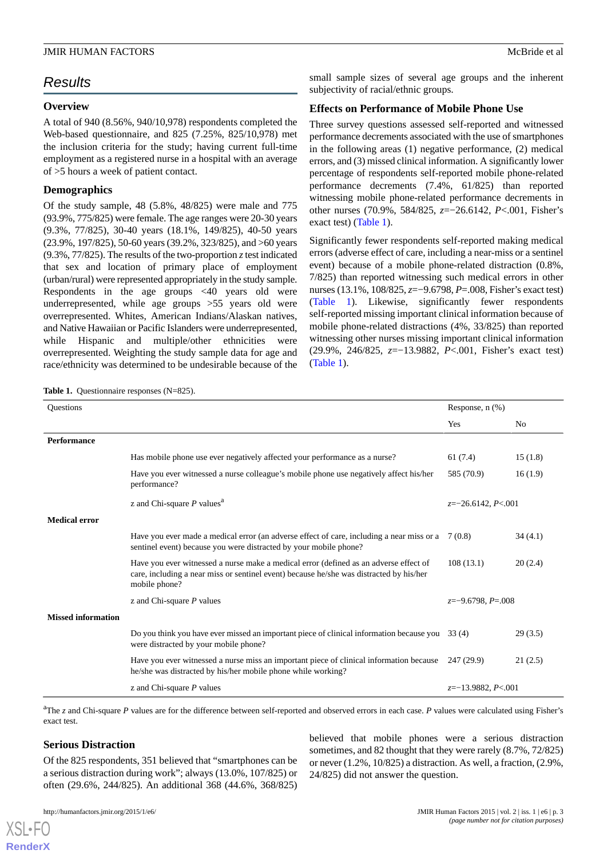# *Results*

#### **Overview**

A total of 940 (8.56%, 940/10,978) respondents completed the Web-based questionnaire, and 825 (7.25%, 825/10,978) met the inclusion criteria for the study; having current full-time employment as a registered nurse in a hospital with an average of >5 hours a week of patient contact.

# **Demographics**

Of the study sample, 48 (5.8%, 48/825) were male and 775 (93.9%, 775/825) were female. The age ranges were 20-30 years (9.3%, 77/825), 30-40 years (18.1%, 149/825), 40-50 years (23.9%, 197/825), 50-60 years (39.2%, 323/825), and >60 years (9.3%,  $77/825$ ). The results of the two-proportion *z* test indicated that sex and location of primary place of employment (urban/rural) were represented appropriately in the study sample. Respondents in the age groups <40 years old were underrepresented, while age groups >55 years old were overrepresented. Whites, American Indians/Alaskan natives, and Native Hawaiian or Pacific Islanders were underrepresented, while Hispanic and multiple/other ethnicities were overrepresented. Weighting the study sample data for age and race/ethnicity was determined to be undesirable because of the

<span id="page-2-0"></span>Table 1. Questionnaire responses (N=825).

small sample sizes of several age groups and the inherent subjectivity of racial/ethnic groups.

#### **Effects on Performance of Mobile Phone Use**

Three survey questions assessed self-reported and witnessed performance decrements associated with the use of smartphones in the following areas (1) negative performance, (2) medical errors, and (3) missed clinical information. A significantly lower percentage of respondents self-reported mobile phone-related performance decrements (7.4%, 61/825) than reported witnessing mobile phone-related performance decrements in other nurses (70.9%, 584/825, *z*=−26.6142, *P*<.001, Fisher's exact test) [\(Table 1\)](#page-2-0).

Significantly fewer respondents self-reported making medical errors (adverse effect of care, including a near-miss or a sentinel event) because of a mobile phone-related distraction (0.8%, 7/825) than reported witnessing such medical errors in other nurses (13.1%, 108/825, *z*=−9.6798, *P*=.008, Fisher's exact test) ([Table 1\)](#page-2-0). Likewise, significantly fewer respondents self-reported missing important clinical information because of mobile phone-related distractions (4%, 33/825) than reported witnessing other nurses missing important clinical information (29.9%, 246/825, *z*=−13.9882, *P*<.001, Fisher's exact test) ([Table 1](#page-2-0)).

| Questions                 |                                                                                                                                                                                                   | Response, $n$ $(\%)$ |                |
|---------------------------|---------------------------------------------------------------------------------------------------------------------------------------------------------------------------------------------------|----------------------|----------------|
|                           |                                                                                                                                                                                                   | Yes                  | N <sub>0</sub> |
| <b>Performance</b>        |                                                                                                                                                                                                   |                      |                |
|                           | Has mobile phone use ever negatively affected your performance as a nurse?                                                                                                                        | 61 (7.4)             | 15(1.8)        |
|                           | Have you ever witnessed a nurse colleague's mobile phone use negatively affect his/her<br>performance?                                                                                            | 585 (70.9)           | 16(1.9)        |
|                           | z and Chi-square $P$ values <sup>a</sup>                                                                                                                                                          | $z=-26.6142, P<.001$ |                |
| <b>Medical error</b>      |                                                                                                                                                                                                   |                      |                |
|                           | Have you ever made a medical error (an adverse effect of care, including a near miss or a<br>sentinel event) because you were distracted by your mobile phone?                                    | 7 (0.8)              | 34(4.1)        |
|                           | Have you ever witnessed a nurse make a medical error (defined as an adverse effect of<br>care, including a near miss or sentinel event) because he/she was distracted by his/her<br>mobile phone? | 108(13.1)            | 20(2.4)        |
|                           | z and Chi-square $P$ values                                                                                                                                                                       | $z=-9.6798, P=.008$  |                |
| <b>Missed information</b> |                                                                                                                                                                                                   |                      |                |
|                           | Do you think you have ever missed an important piece of clinical information because you 33 (4)<br>were distracted by your mobile phone?                                                          |                      | 29(3.5)        |
|                           | Have you ever witnessed a nurse miss an important piece of clinical information because<br>he/she was distracted by his/her mobile phone while working?                                           | 247 (29.9)           | 21(2.5)        |
|                           | z and Chi-square $P$ values                                                                                                                                                                       | $z=-13.9882, P<.001$ |                |

<sup>a</sup>The *z* and Chi-square *P* values are for the difference between self-reported and observed errors in each case. *P* values were calculated using Fisher's exact test.

#### **Serious Distraction**

Of the 825 respondents, 351 believed that "smartphones can be a serious distraction during work"; always (13.0%, 107/825) or often (29.6%, 244/825). An additional 368 (44.6%, 368/825)

[XSL](http://www.w3.org/Style/XSL)•FO **[RenderX](http://www.renderx.com/)**

believed that mobile phones were a serious distraction sometimes, and 82 thought that they were rarely (8.7%, 72/825) or never (1.2%, 10/825) a distraction. As well, a fraction, (2.9%, 24/825) did not answer the question.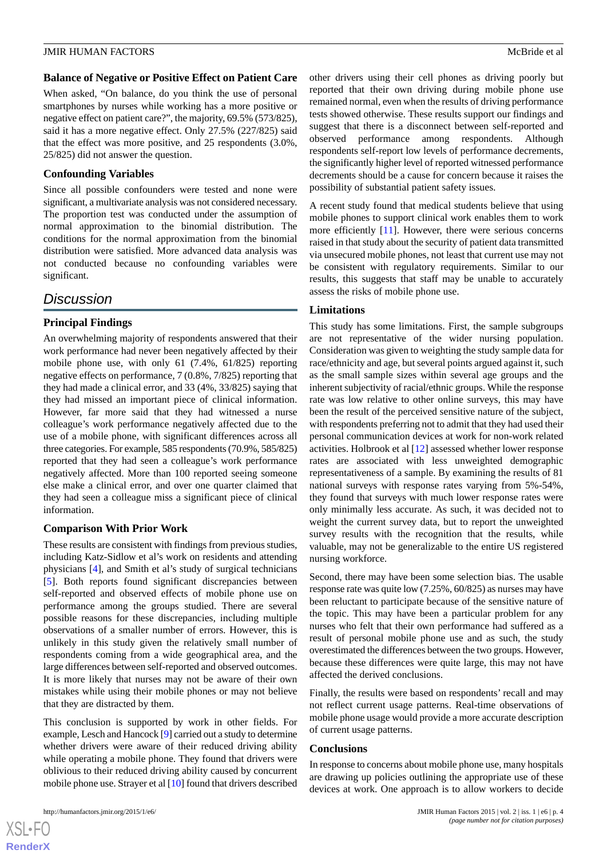#### **Balance of Negative or Positive Effect on Patient Care**

When asked, "On balance, do you think the use of personal smartphones by nurses while working has a more positive or negative effect on patient care?", the majority, 69.5% (573/825), said it has a more negative effect. Only 27.5% (227/825) said that the effect was more positive, and 25 respondents (3.0%, 25/825) did not answer the question.

#### **Confounding Variables**

Since all possible confounders were tested and none were significant, a multivariate analysis was not considered necessary. The proportion test was conducted under the assumption of normal approximation to the binomial distribution. The conditions for the normal approximation from the binomial distribution were satisfied. More advanced data analysis was not conducted because no confounding variables were significant.

# *Discussion*

### **Principal Findings**

An overwhelming majority of respondents answered that their work performance had never been negatively affected by their mobile phone use, with only 61 (7.4%, 61/825) reporting negative effects on performance, 7 (0.8%, 7/825) reporting that they had made a clinical error, and 33 (4%, 33/825) saying that they had missed an important piece of clinical information. However, far more said that they had witnessed a nurse colleague's work performance negatively affected due to the use of a mobile phone, with significant differences across all three categories. For example, 585 respondents (70.9%, 585/825) reported that they had seen a colleague's work performance negatively affected. More than 100 reported seeing someone else make a clinical error, and over one quarter claimed that they had seen a colleague miss a significant piece of clinical information.

#### **Comparison With Prior Work**

These results are consistent with findings from previous studies, including Katz-Sidlow et al's work on residents and attending physicians [\[4](#page-4-2)], and Smith et al's study of surgical technicians [[5\]](#page-4-3). Both reports found significant discrepancies between self-reported and observed effects of mobile phone use on performance among the groups studied. There are several possible reasons for these discrepancies, including multiple observations of a smaller number of errors. However, this is unlikely in this study given the relatively small number of respondents coming from a wide geographical area, and the large differences between self-reported and observed outcomes. It is more likely that nurses may not be aware of their own mistakes while using their mobile phones or may not believe that they are distracted by them.

This conclusion is supported by work in other fields. For example, Lesch and Hancock [[9\]](#page-4-8) carried out a study to determine whether drivers were aware of their reduced driving ability while operating a mobile phone. They found that drivers were oblivious to their reduced driving ability caused by concurrent mobile phone use. Strayer et al [[10\]](#page-4-9) found that drivers described

 $XS$  $\cdot$ FC **[RenderX](http://www.renderx.com/)** other drivers using their cell phones as driving poorly but reported that their own driving during mobile phone use remained normal, even when the results of driving performance tests showed otherwise. These results support our findings and suggest that there is a disconnect between self-reported and observed performance among respondents. Although respondents self-report low levels of performance decrements, the significantly higher level of reported witnessed performance decrements should be a cause for concern because it raises the possibility of substantial patient safety issues.

A recent study found that medical students believe that using mobile phones to support clinical work enables them to work more efficiently [[11\]](#page-4-10). However, there were serious concerns raised in that study about the security of patient data transmitted via unsecured mobile phones, not least that current use may not be consistent with regulatory requirements. Similar to our results, this suggests that staff may be unable to accurately assess the risks of mobile phone use.

#### **Limitations**

This study has some limitations. First, the sample subgroups are not representative of the wider nursing population. Consideration was given to weighting the study sample data for race/ethnicity and age, but several points argued against it, such as the small sample sizes within several age groups and the inherent subjectivity of racial/ethnic groups. While the response rate was low relative to other online surveys, this may have been the result of the perceived sensitive nature of the subject, with respondents preferring not to admit that they had used their personal communication devices at work for non-work related activities. Holbrook et al [[12\]](#page-4-11) assessed whether lower response rates are associated with less unweighted demographic representativeness of a sample. By examining the results of 81 national surveys with response rates varying from 5%-54%, they found that surveys with much lower response rates were only minimally less accurate. As such, it was decided not to weight the current survey data, but to report the unweighted survey results with the recognition that the results, while valuable, may not be generalizable to the entire US registered nursing workforce.

Second, there may have been some selection bias. The usable response rate was quite low (7.25%, 60/825) as nurses may have been reluctant to participate because of the sensitive nature of the topic. This may have been a particular problem for any nurses who felt that their own performance had suffered as a result of personal mobile phone use and as such, the study overestimated the differences between the two groups. However, because these differences were quite large, this may not have affected the derived conclusions.

Finally, the results were based on respondents' recall and may not reflect current usage patterns. Real-time observations of mobile phone usage would provide a more accurate description of current usage patterns.

#### **Conclusions**

In response to concerns about mobile phone use, many hospitals are drawing up policies outlining the appropriate use of these devices at work. One approach is to allow workers to decide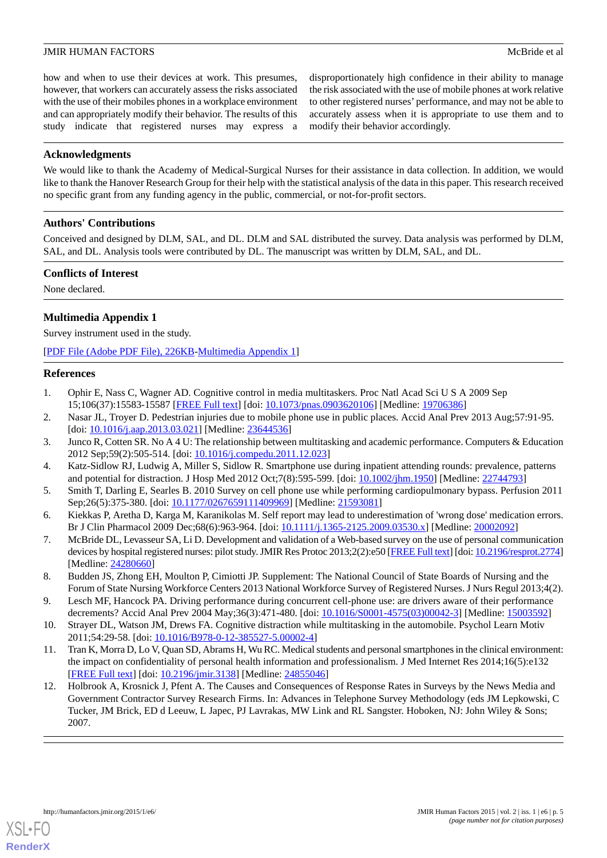how and when to use their devices at work. This presumes, however, that workers can accurately assess the risks associated with the use of their mobiles phones in a workplace environment and can appropriately modify their behavior. The results of this study indicate that registered nurses may express a disproportionately high confidence in their ability to manage the risk associated with the use of mobile phones at work relative to other registered nurses' performance, and may not be able to accurately assess when it is appropriate to use them and to modify their behavior accordingly.

#### **Acknowledgments**

We would like to thank the Academy of Medical-Surgical Nurses for their assistance in data collection. In addition, we would like to thank the Hanover Research Group for their help with the statistical analysis of the data in this paper. This research received no specific grant from any funding agency in the public, commercial, or not-for-profit sectors.

### **Authors' Contributions**

Conceived and designed by DLM, SAL, and DL. DLM and SAL distributed the survey. Data analysis was performed by DLM, SAL, and DL. Analysis tools were contributed by DL. The manuscript was written by DLM, SAL, and DL.

#### **Conflicts of Interest**

<span id="page-4-6"></span>None declared.

# **Multimedia Appendix 1**

Survey instrument used in the study.

<span id="page-4-0"></span>[[PDF File \(Adobe PDF File\), 226KB-Multimedia Appendix 1](https://jmir.org/api/download?alt_name=humanfactors_v2i1e6_app1.pdf&filename=1b53708d4c771ebaf62d46abfd1168ca.pdf)]

### **References**

- <span id="page-4-1"></span>1. Ophir E, Nass C, Wagner AD. Cognitive control in media multitaskers. Proc Natl Acad Sci U S A 2009 Sep 15;106(37):15583-15587 [[FREE Full text](http://www.pnas.org/cgi/pmidlookup?view=long&pmid=19706386)] [doi: [10.1073/pnas.0903620106\]](http://dx.doi.org/10.1073/pnas.0903620106) [Medline: [19706386](http://www.ncbi.nlm.nih.gov/entrez/query.fcgi?cmd=Retrieve&db=PubMed&list_uids=19706386&dopt=Abstract)]
- <span id="page-4-2"></span>2. Nasar JL, Troyer D. Pedestrian injuries due to mobile phone use in public places. Accid Anal Prev 2013 Aug;57:91-95. [doi: [10.1016/j.aap.2013.03.021\]](http://dx.doi.org/10.1016/j.aap.2013.03.021) [Medline: [23644536\]](http://www.ncbi.nlm.nih.gov/entrez/query.fcgi?cmd=Retrieve&db=PubMed&list_uids=23644536&dopt=Abstract)
- <span id="page-4-3"></span>3. Junco R, Cotten SR. No A 4 U: The relationship between multitasking and academic performance. Computers & Education 2012 Sep;59(2):505-514. [doi: [10.1016/j.compedu.2011.12.023\]](http://dx.doi.org/10.1016/j.compedu.2011.12.023)
- <span id="page-4-4"></span>4. Katz-Sidlow RJ, Ludwig A, Miller S, Sidlow R. Smartphone use during inpatient attending rounds: prevalence, patterns and potential for distraction. J Hosp Med 2012 Oct;7(8):595-599. [doi: [10.1002/jhm.1950](http://dx.doi.org/10.1002/jhm.1950)] [Medline: [22744793](http://www.ncbi.nlm.nih.gov/entrez/query.fcgi?cmd=Retrieve&db=PubMed&list_uids=22744793&dopt=Abstract)]
- <span id="page-4-5"></span>5. Smith T, Darling E, Searles B. 2010 Survey on cell phone use while performing cardiopulmonary bypass. Perfusion 2011 Sep;26(5):375-380. [doi: [10.1177/0267659111409969\]](http://dx.doi.org/10.1177/0267659111409969) [Medline: [21593081\]](http://www.ncbi.nlm.nih.gov/entrez/query.fcgi?cmd=Retrieve&db=PubMed&list_uids=21593081&dopt=Abstract)
- <span id="page-4-7"></span>6. Kiekkas P, Aretha D, Karga M, Karanikolas M. Self report may lead to underestimation of 'wrong dose' medication errors. Br J Clin Pharmacol 2009 Dec;68(6):963-964. [doi: [10.1111/j.1365-2125.2009.03530.x](http://dx.doi.org/10.1111/j.1365-2125.2009.03530.x)] [Medline: [20002092](http://www.ncbi.nlm.nih.gov/entrez/query.fcgi?cmd=Retrieve&db=PubMed&list_uids=20002092&dopt=Abstract)]
- <span id="page-4-8"></span>7. McBride DL, Levasseur SA, Li D. Development and validation of a Web-based survey on the use of personal communication devices by hospital registered nurses: pilot study. JMIR Res Protoc 2013;2(2):e50 [\[FREE Full text](http://www.researchprotocols.org/2013/2/e50/)] [doi: [10.2196/resprot.2774](http://dx.doi.org/10.2196/resprot.2774)] [Medline: [24280660](http://www.ncbi.nlm.nih.gov/entrez/query.fcgi?cmd=Retrieve&db=PubMed&list_uids=24280660&dopt=Abstract)]
- <span id="page-4-10"></span><span id="page-4-9"></span>8. Budden JS, Zhong EH, Moulton P, Cimiotti JP. Supplement: The National Council of State Boards of Nursing and the Forum of State Nursing Workforce Centers 2013 National Workforce Survey of Registered Nurses. J Nurs Regul 2013;4(2).
- 9. Lesch MF, Hancock PA. Driving performance during concurrent cell-phone use: are drivers aware of their performance decrements? Accid Anal Prev 2004 May;36(3):471-480. [doi: [10.1016/S0001-4575\(03\)00042-3\]](http://dx.doi.org/10.1016/S0001-4575(03)00042-3) [Medline: [15003592\]](http://www.ncbi.nlm.nih.gov/entrez/query.fcgi?cmd=Retrieve&db=PubMed&list_uids=15003592&dopt=Abstract)
- <span id="page-4-11"></span>10. Strayer DL, Watson JM, Drews FA. Cognitive distraction while multitasking in the automobile. Psychol Learn Motiv 2011;54:29-58. [doi: [10.1016/B978-0-12-385527-5.00002-4\]](http://dx.doi.org/10.1016/B978-0-12-385527-5.00002-4)
- 11. Tran K, Morra D, Lo V, Quan SD, Abrams H, Wu RC. Medical students and personal smartphones in the clinical environment: the impact on confidentiality of personal health information and professionalism. J Med Internet Res 2014;16(5):e132 [[FREE Full text](http://www.jmir.org/2014/5/e132/)] [doi: [10.2196/jmir.3138](http://dx.doi.org/10.2196/jmir.3138)] [Medline: [24855046](http://www.ncbi.nlm.nih.gov/entrez/query.fcgi?cmd=Retrieve&db=PubMed&list_uids=24855046&dopt=Abstract)]
- 12. Holbrook A, Krosnick J, Pfent A. The Causes and Consequences of Response Rates in Surveys by the News Media and Government Contractor Survey Research Firms. In: Advances in Telephone Survey Methodology (eds JM Lepkowski, C Tucker, JM Brick, ED d Leeuw, L Japec, PJ Lavrakas, MW Link and RL Sangster. Hoboken, NJ: John Wiley & Sons; 2007.